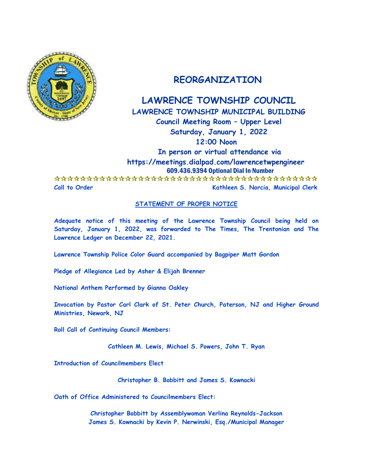

# **REORGANIZATION**

# **LAWRENCE TOWNSHIP COUNCIL LAWRENCE TOWNSHIP MUNICIPAL BUILDING**

**Council Meeting Room – Upper Level Saturday, January 1, 2022 12:00 Noon**

 **In person or virtual attendance via https://meetings.dialpad.com/lawrencetwpengineer** 609.436.9394 Optional Dial In Number

 **Call to Order Kathleen S. Norcia, Municipal Clerk**

## **STATEMENT OF PROPER NOTICE**

**Adequate notice of this meeting of the Lawrence Township Council being held on Saturday, January 1, 2022, was forwarded to The Times, The Trentonian and The Lawrence Ledger on December 22, 2021.**

**Lawrence Township Police Color Guard accompanied by Bagpiper Matt Gordon**

**Pledge of Allegiance Led by Asher & Elijah Brenner**

**National Anthem Performed by Gianna Oakley**

**Invocation by Pastor Carl Clark of St. Peter Church, Paterson, NJ and Higher Ground Ministries, Newark, NJ**

**Roll Call of Continuing Council Members:**

**Cathleen M. Lewis, Michael S. Powers, John T. Ryan**

**Introduction of Councilmembers Elect**

**Christopher B. Bobbitt and James S. Kownacki**

**Oath of Office Administered to Councilmembers Elect:**

**Christopher Bobbitt by Assemblywoman Verlina Reynolds-Jackson James S. Kownacki by Kevin P. Nerwinski, Esq./Municipal Manager**